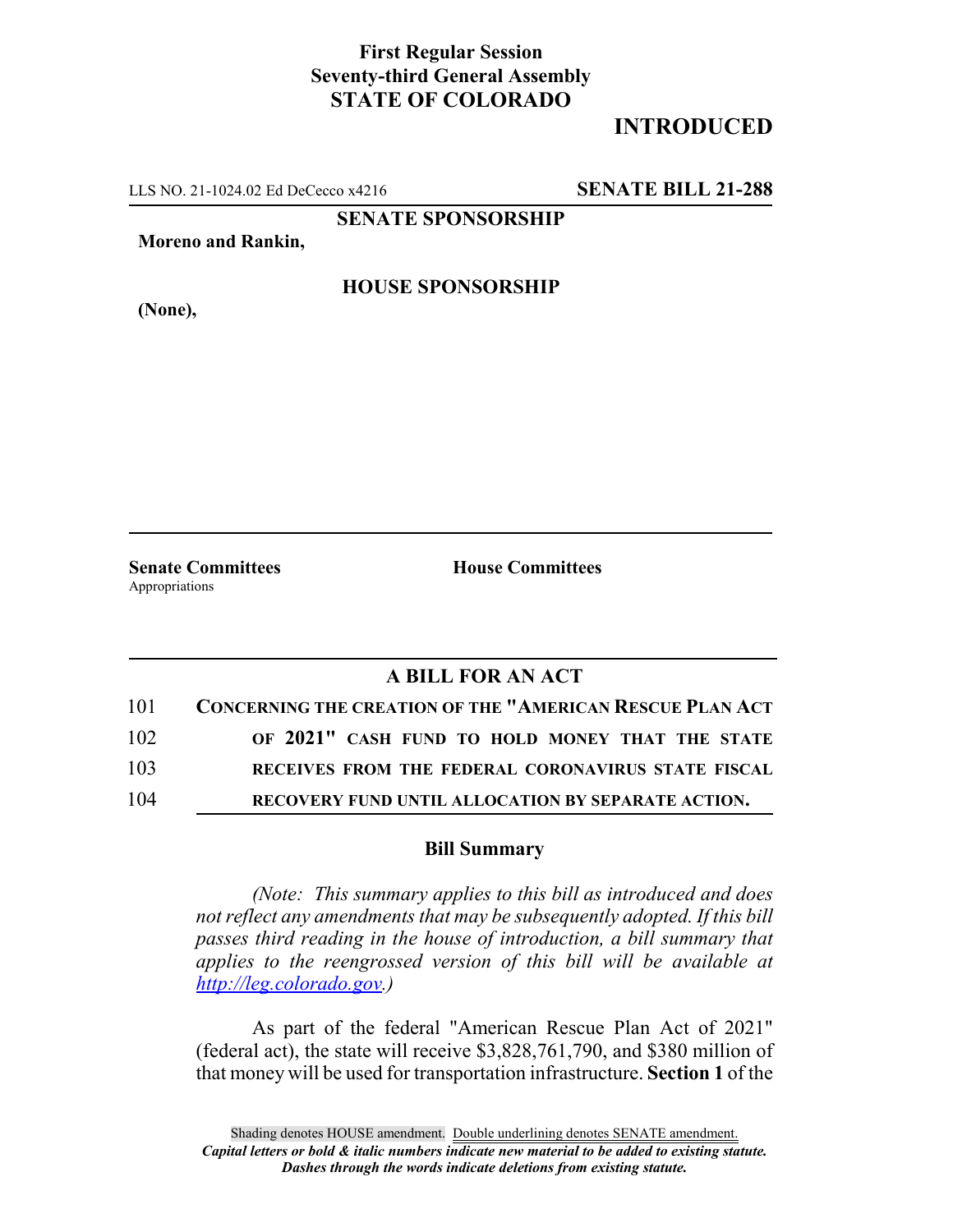## **First Regular Session Seventy-third General Assembly STATE OF COLORADO**

## **INTRODUCED**

LLS NO. 21-1024.02 Ed DeCecco x4216 **SENATE BILL 21-288**

**SENATE SPONSORSHIP**

**Moreno and Rankin,**

**HOUSE SPONSORSHIP**

**(None),**

**Senate Committees House Committees** Appropriations

## **A BILL FOR AN ACT**

| 101 | <b>CONCERNING THE CREATION OF THE "AMERICAN RESCUE PLAN ACT</b> |
|-----|-----------------------------------------------------------------|
| 102 | OF 2021" CASH FUND TO HOLD MONEY THAT THE STATE                 |
| 103 | RECEIVES FROM THE FEDERAL CORONAVIRUS STATE FISCAL              |
| 104 | RECOVERY FUND UNTIL ALLOCATION BY SEPARATE ACTION.              |

## **Bill Summary**

*(Note: This summary applies to this bill as introduced and does not reflect any amendments that may be subsequently adopted. If this bill passes third reading in the house of introduction, a bill summary that applies to the reengrossed version of this bill will be available at http://leg.colorado.gov.)*

As part of the federal "American Rescue Plan Act of 2021" (federal act), the state will receive \$3,828,761,790, and \$380 million of that money will be used for transportation infrastructure. **Section 1** of the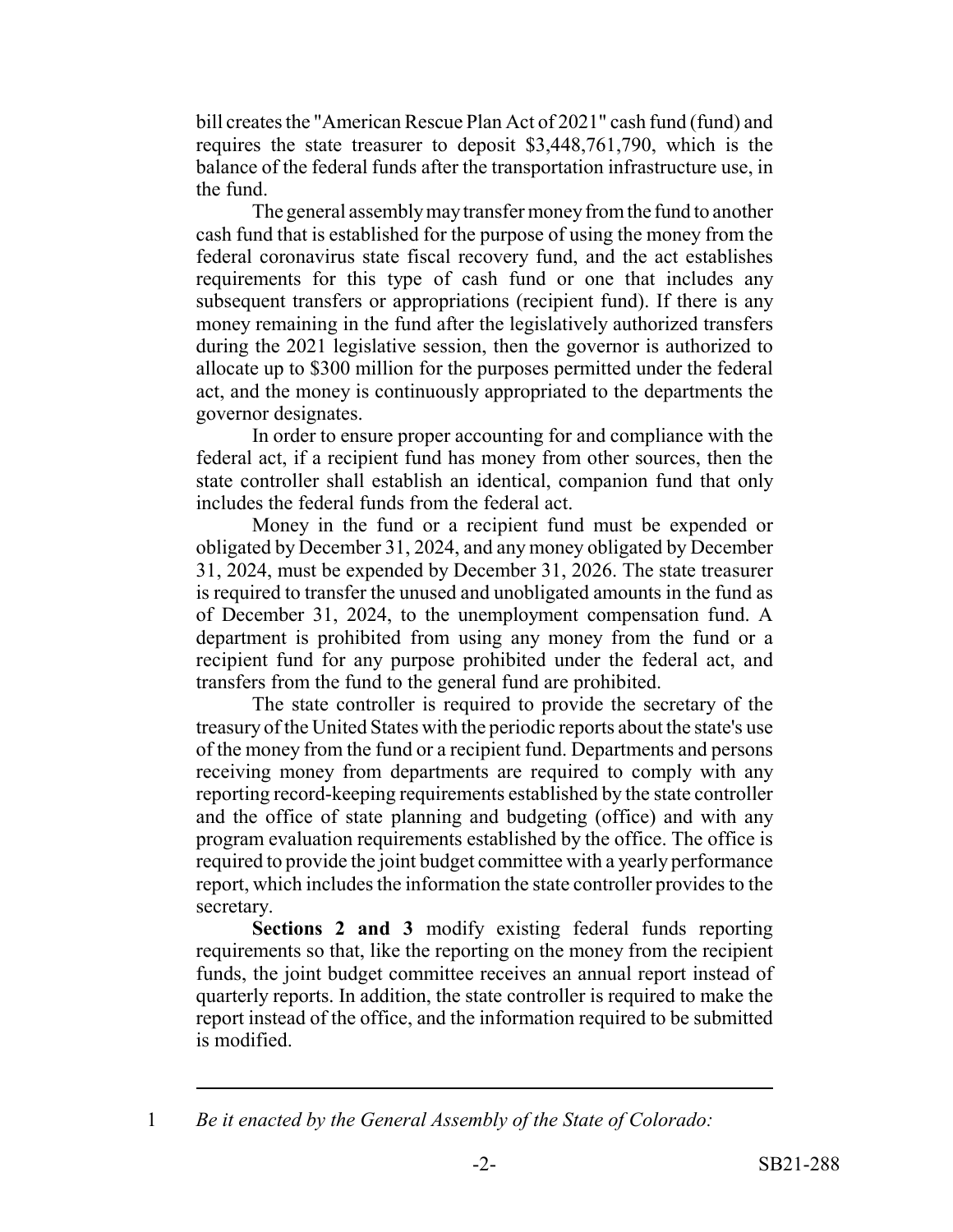bill creates the "American Rescue Plan Act of 2021" cash fund (fund) and requires the state treasurer to deposit \$3,448,761,790, which is the balance of the federal funds after the transportation infrastructure use, in the fund.

The general assembly may transfer money from the fund to another cash fund that is established for the purpose of using the money from the federal coronavirus state fiscal recovery fund, and the act establishes requirements for this type of cash fund or one that includes any subsequent transfers or appropriations (recipient fund). If there is any money remaining in the fund after the legislatively authorized transfers during the 2021 legislative session, then the governor is authorized to allocate up to \$300 million for the purposes permitted under the federal act, and the money is continuously appropriated to the departments the governor designates.

In order to ensure proper accounting for and compliance with the federal act, if a recipient fund has money from other sources, then the state controller shall establish an identical, companion fund that only includes the federal funds from the federal act.

Money in the fund or a recipient fund must be expended or obligated by December 31, 2024, and any money obligated by December 31, 2024, must be expended by December 31, 2026. The state treasurer is required to transfer the unused and unobligated amounts in the fund as of December 31, 2024, to the unemployment compensation fund. A department is prohibited from using any money from the fund or a recipient fund for any purpose prohibited under the federal act, and transfers from the fund to the general fund are prohibited.

The state controller is required to provide the secretary of the treasury of the United States with the periodic reports about the state's use of the money from the fund or a recipient fund. Departments and persons receiving money from departments are required to comply with any reporting record-keeping requirements established by the state controller and the office of state planning and budgeting (office) and with any program evaluation requirements established by the office. The office is required to provide the joint budget committee with a yearly performance report, which includes the information the state controller provides to the secretary.

**Sections 2 and 3** modify existing federal funds reporting requirements so that, like the reporting on the money from the recipient funds, the joint budget committee receives an annual report instead of quarterly reports. In addition, the state controller is required to make the report instead of the office, and the information required to be submitted is modified.

<sup>1</sup> *Be it enacted by the General Assembly of the State of Colorado:*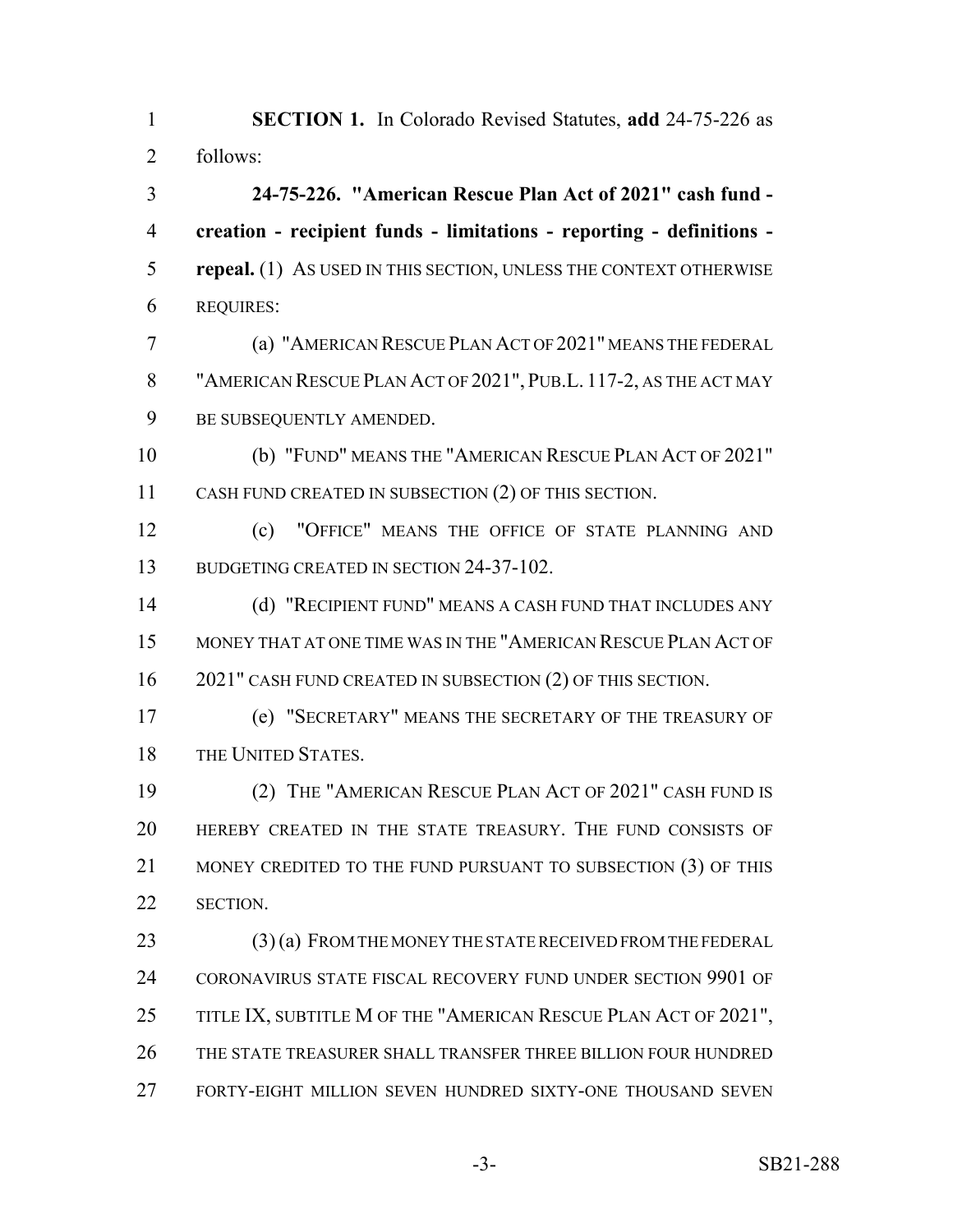**SECTION 1.** In Colorado Revised Statutes, **add** 24-75-226 as follows: **24-75-226. "American Rescue Plan Act of 2021" cash fund - creation - recipient funds - limitations - reporting - definitions - repeal.** (1) AS USED IN THIS SECTION, UNLESS THE CONTEXT OTHERWISE REQUIRES: (a) "AMERICAN RESCUE PLAN ACT OF 2021" MEANS THE FEDERAL "AMERICAN RESCUE PLAN ACT OF 2021", PUB.L. 117-2, AS THE ACT MAY BE SUBSEQUENTLY AMENDED. (b) "FUND" MEANS THE "AMERICAN RESCUE PLAN ACT OF 2021" CASH FUND CREATED IN SUBSECTION (2) OF THIS SECTION. (c) "OFFICE" MEANS THE OFFICE OF STATE PLANNING AND 13 BUDGETING CREATED IN SECTION 24-37-102. (d) "RECIPIENT FUND" MEANS A CASH FUND THAT INCLUDES ANY MONEY THAT AT ONE TIME WAS IN THE "AMERICAN RESCUE PLAN ACT OF 16 2021" CASH FUND CREATED IN SUBSECTION (2) OF THIS SECTION. (e) "SECRETARY" MEANS THE SECRETARY OF THE TREASURY OF 18 THE UNITED STATES. (2) THE "AMERICAN RESCUE PLAN ACT OF 2021" CASH FUND IS HEREBY CREATED IN THE STATE TREASURY. THE FUND CONSISTS OF 21 MONEY CREDITED TO THE FUND PURSUANT TO SUBSECTION (3) OF THIS SECTION.

 (3) (a) FROM THE MONEY THE STATE RECEIVED FROM THE FEDERAL 24 CORONAVIRUS STATE FISCAL RECOVERY FUND UNDER SECTION 9901 OF 25 TITLE IX, SUBTITLE M OF THE "AMERICAN RESCUE PLAN ACT OF 2021", THE STATE TREASURER SHALL TRANSFER THREE BILLION FOUR HUNDRED FORTY-EIGHT MILLION SEVEN HUNDRED SIXTY-ONE THOUSAND SEVEN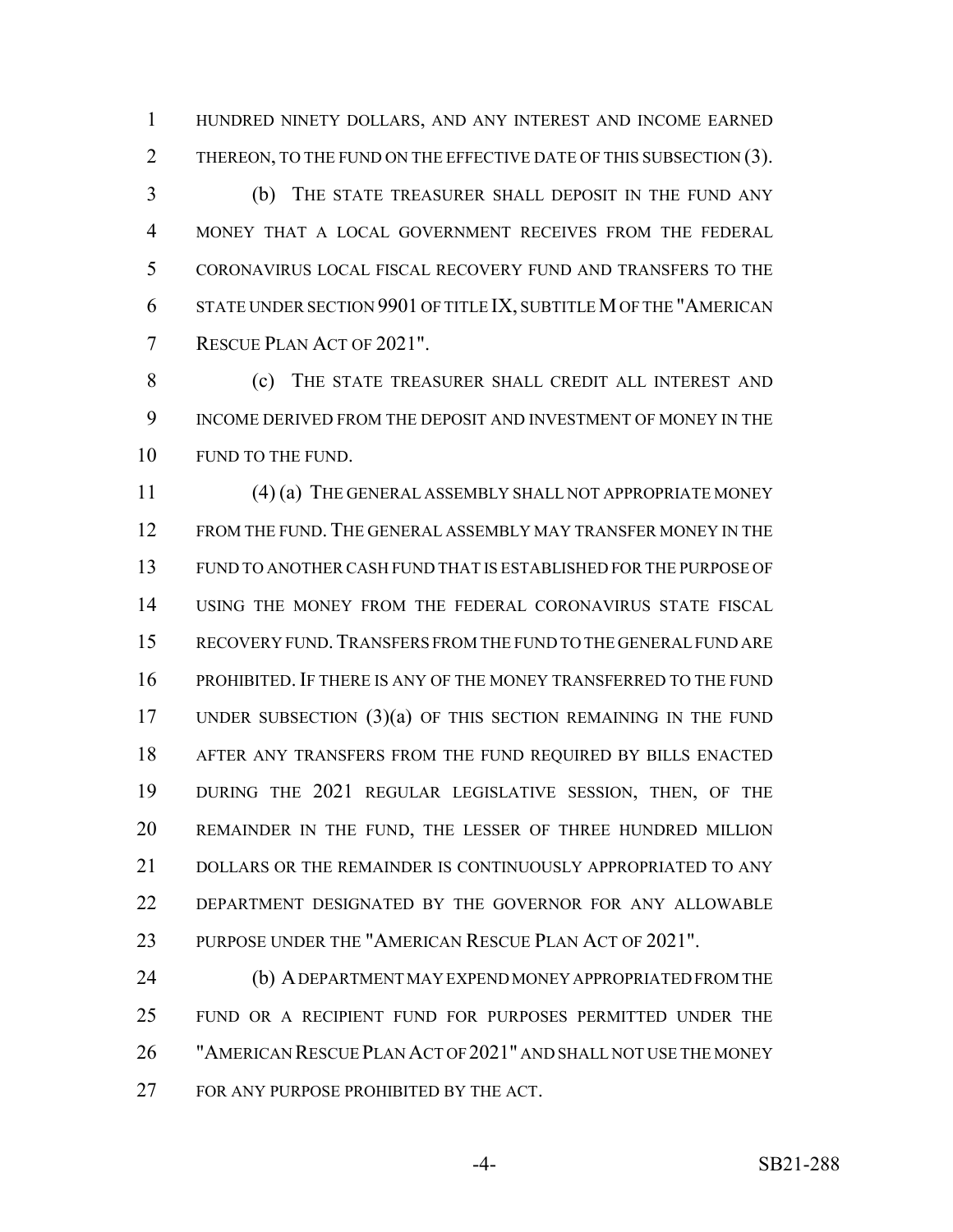HUNDRED NINETY DOLLARS, AND ANY INTEREST AND INCOME EARNED 2 THEREON, TO THE FUND ON THE EFFECTIVE DATE OF THIS SUBSECTION (3).

 (b) THE STATE TREASURER SHALL DEPOSIT IN THE FUND ANY MONEY THAT A LOCAL GOVERNMENT RECEIVES FROM THE FEDERAL CORONAVIRUS LOCAL FISCAL RECOVERY FUND AND TRANSFERS TO THE STATE UNDER SECTION 9901 OF TITLE IX, SUBTITLE M OF THE "AMERICAN RESCUE PLAN ACT OF 2021".

 (c) THE STATE TREASURER SHALL CREDIT ALL INTEREST AND INCOME DERIVED FROM THE DEPOSIT AND INVESTMENT OF MONEY IN THE 10 FUND TO THE FUND.

 (4) (a) THE GENERAL ASSEMBLY SHALL NOT APPROPRIATE MONEY FROM THE FUND. THE GENERAL ASSEMBLY MAY TRANSFER MONEY IN THE FUND TO ANOTHER CASH FUND THAT IS ESTABLISHED FOR THE PURPOSE OF USING THE MONEY FROM THE FEDERAL CORONAVIRUS STATE FISCAL RECOVERY FUND.TRANSFERS FROM THE FUND TO THE GENERAL FUND ARE PROHIBITED. IF THERE IS ANY OF THE MONEY TRANSFERRED TO THE FUND UNDER SUBSECTION (3)(a) OF THIS SECTION REMAINING IN THE FUND AFTER ANY TRANSFERS FROM THE FUND REQUIRED BY BILLS ENACTED DURING THE 2021 REGULAR LEGISLATIVE SESSION, THEN, OF THE REMAINDER IN THE FUND, THE LESSER OF THREE HUNDRED MILLION DOLLARS OR THE REMAINDER IS CONTINUOUSLY APPROPRIATED TO ANY DEPARTMENT DESIGNATED BY THE GOVERNOR FOR ANY ALLOWABLE 23 PURPOSE UNDER THE "AMERICAN RESCUE PLAN ACT OF 2021".

 (b) A DEPARTMENT MAY EXPEND MONEY APPROPRIATED FROM THE FUND OR A RECIPIENT FUND FOR PURPOSES PERMITTED UNDER THE "AMERICAN RESCUE PLAN ACT OF 2021" AND SHALL NOT USE THE MONEY 27 FOR ANY PURPOSE PROHIBITED BY THE ACT.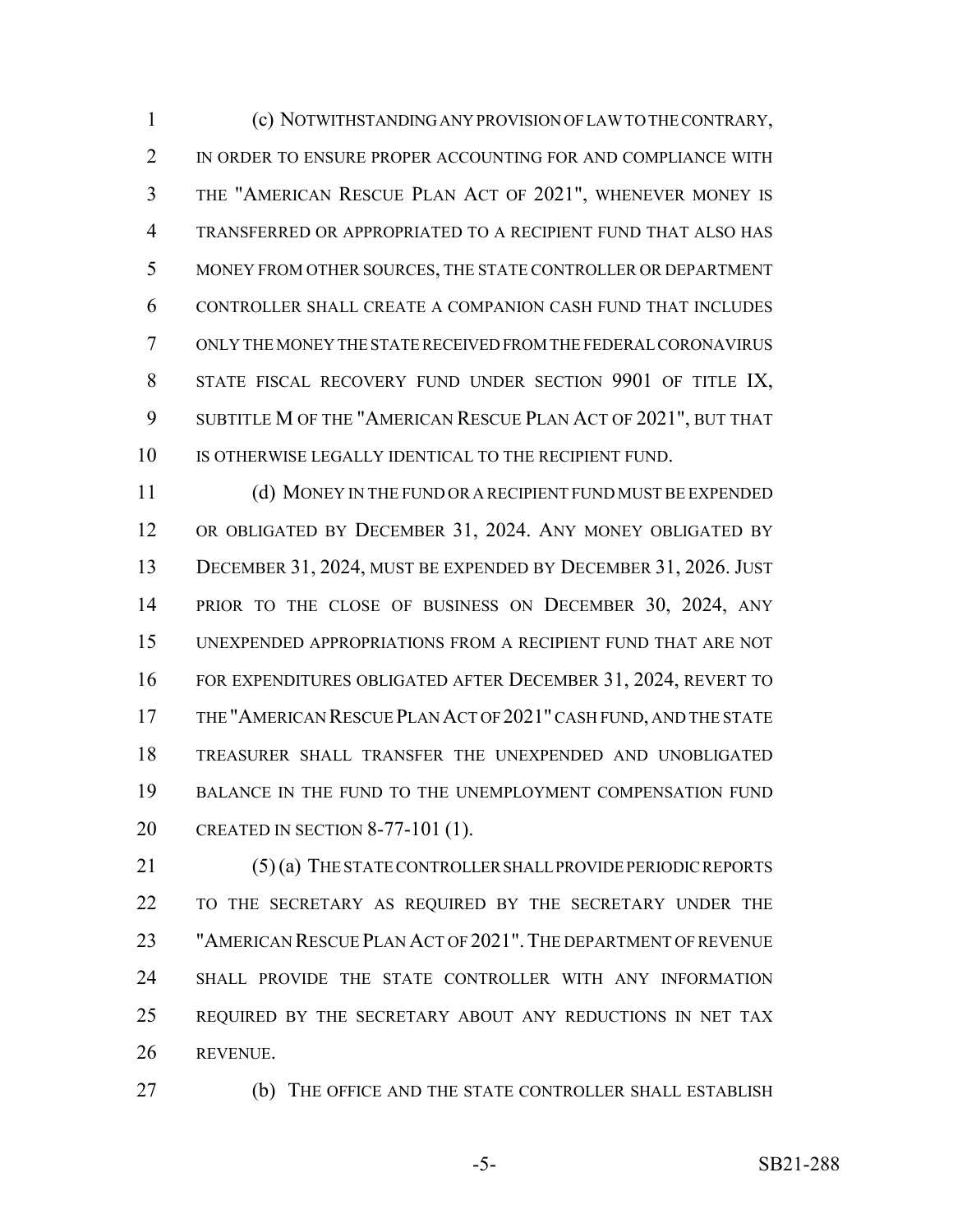(c) NOTWITHSTANDING ANY PROVISION OF LAW TO THE CONTRARY, 2 IN ORDER TO ENSURE PROPER ACCOUNTING FOR AND COMPLIANCE WITH THE "AMERICAN RESCUE PLAN ACT OF 2021", WHENEVER MONEY IS TRANSFERRED OR APPROPRIATED TO A RECIPIENT FUND THAT ALSO HAS MONEY FROM OTHER SOURCES, THE STATE CONTROLLER OR DEPARTMENT CONTROLLER SHALL CREATE A COMPANION CASH FUND THAT INCLUDES ONLY THE MONEY THE STATE RECEIVED FROM THE FEDERAL CORONAVIRUS STATE FISCAL RECOVERY FUND UNDER SECTION 9901 OF TITLE IX, SUBTITLE M OF THE "AMERICAN RESCUE PLAN ACT OF 2021", BUT THAT 10 IS OTHERWISE LEGALLY IDENTICAL TO THE RECIPIENT FUND.

 (d) MONEY IN THE FUND OR A RECIPIENT FUND MUST BE EXPENDED OR OBLIGATED BY DECEMBER 31, 2024. ANY MONEY OBLIGATED BY DECEMBER 31, 2024, MUST BE EXPENDED BY DECEMBER 31, 2026. JUST 14 PRIOR TO THE CLOSE OF BUSINESS ON DECEMBER 30, 2024, ANY UNEXPENDED APPROPRIATIONS FROM A RECIPIENT FUND THAT ARE NOT FOR EXPENDITURES OBLIGATED AFTER DECEMBER 31, 2024, REVERT TO THE "AMERICAN RESCUE PLAN ACT OF 2021" CASH FUND, AND THE STATE TREASURER SHALL TRANSFER THE UNEXPENDED AND UNOBLIGATED BALANCE IN THE FUND TO THE UNEMPLOYMENT COMPENSATION FUND CREATED IN SECTION 8-77-101 (1).

 (5) (a) THE STATE CONTROLLER SHALL PROVIDE PERIODIC REPORTS TO THE SECRETARY AS REQUIRED BY THE SECRETARY UNDER THE "AMERICAN RESCUE PLAN ACT OF 2021".THE DEPARTMENT OF REVENUE SHALL PROVIDE THE STATE CONTROLLER WITH ANY INFORMATION REQUIRED BY THE SECRETARY ABOUT ANY REDUCTIONS IN NET TAX REVENUE.

(b) THE OFFICE AND THE STATE CONTROLLER SHALL ESTABLISH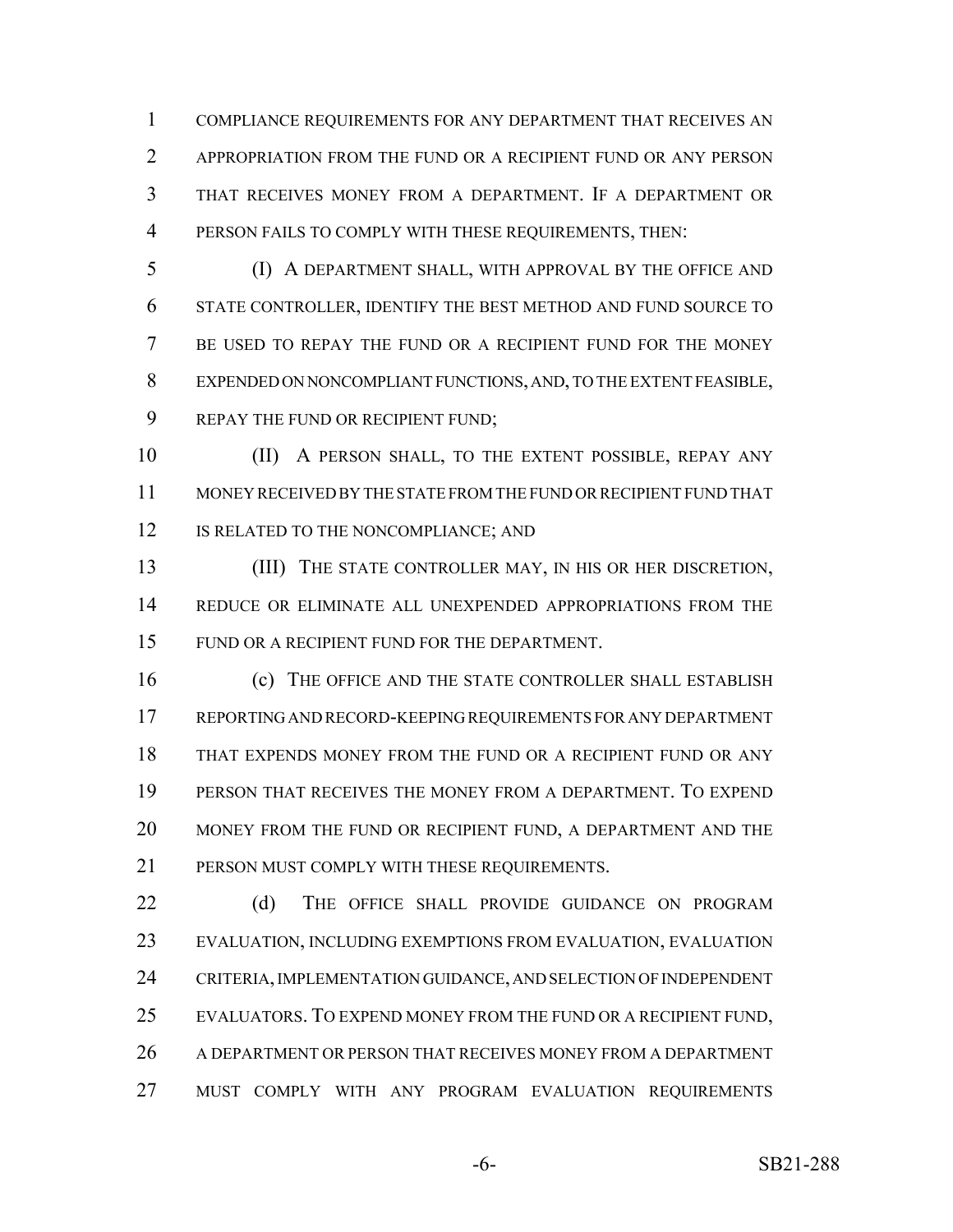COMPLIANCE REQUIREMENTS FOR ANY DEPARTMENT THAT RECEIVES AN APPROPRIATION FROM THE FUND OR A RECIPIENT FUND OR ANY PERSON THAT RECEIVES MONEY FROM A DEPARTMENT. IF A DEPARTMENT OR PERSON FAILS TO COMPLY WITH THESE REQUIREMENTS, THEN:

 (I) A DEPARTMENT SHALL, WITH APPROVAL BY THE OFFICE AND STATE CONTROLLER, IDENTIFY THE BEST METHOD AND FUND SOURCE TO BE USED TO REPAY THE FUND OR A RECIPIENT FUND FOR THE MONEY EXPENDED ON NONCOMPLIANT FUNCTIONS, AND, TO THE EXTENT FEASIBLE, REPAY THE FUND OR RECIPIENT FUND;

10 (II) A PERSON SHALL, TO THE EXTENT POSSIBLE, REPAY ANY MONEY RECEIVED BY THE STATE FROM THE FUND OR RECIPIENT FUND THAT 12 IS RELATED TO THE NONCOMPLIANCE; AND

 (III) THE STATE CONTROLLER MAY, IN HIS OR HER DISCRETION, REDUCE OR ELIMINATE ALL UNEXPENDED APPROPRIATIONS FROM THE FUND OR A RECIPIENT FUND FOR THE DEPARTMENT.

 (c) THE OFFICE AND THE STATE CONTROLLER SHALL ESTABLISH REPORTING AND RECORD-KEEPING REQUIREMENTS FOR ANY DEPARTMENT THAT EXPENDS MONEY FROM THE FUND OR A RECIPIENT FUND OR ANY PERSON THAT RECEIVES THE MONEY FROM A DEPARTMENT. TO EXPEND MONEY FROM THE FUND OR RECIPIENT FUND, A DEPARTMENT AND THE 21 PERSON MUST COMPLY WITH THESE REQUIREMENTS.

22 (d) THE OFFICE SHALL PROVIDE GUIDANCE ON PROGRAM EVALUATION, INCLUDING EXEMPTIONS FROM EVALUATION, EVALUATION CRITERIA, IMPLEMENTATION GUIDANCE, AND SELECTION OF INDEPENDENT EVALUATORS. TO EXPEND MONEY FROM THE FUND OR A RECIPIENT FUND, A DEPARTMENT OR PERSON THAT RECEIVES MONEY FROM A DEPARTMENT MUST COMPLY WITH ANY PROGRAM EVALUATION REQUIREMENTS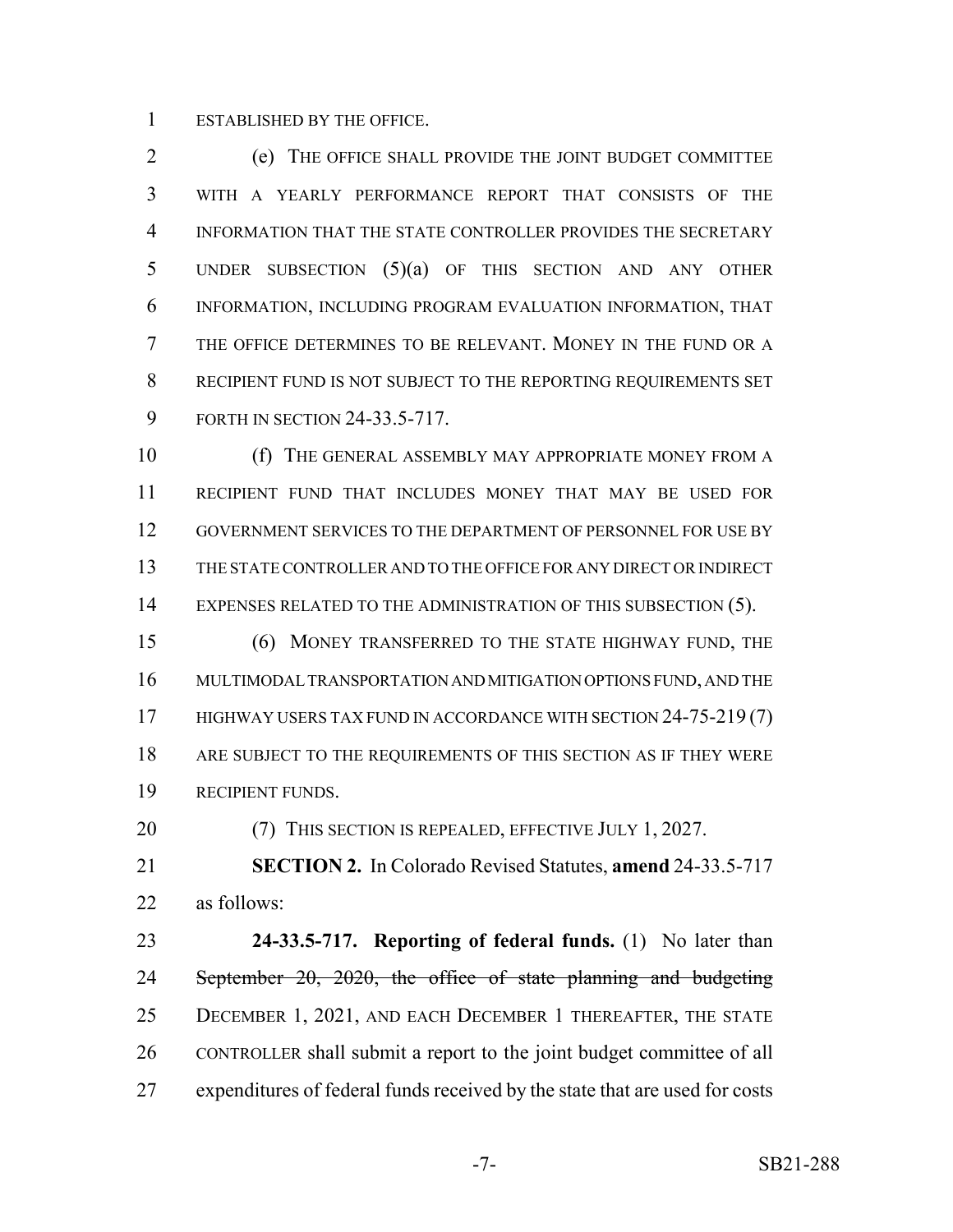ESTABLISHED BY THE OFFICE.

 (e) THE OFFICE SHALL PROVIDE THE JOINT BUDGET COMMITTEE WITH A YEARLY PERFORMANCE REPORT THAT CONSISTS OF THE INFORMATION THAT THE STATE CONTROLLER PROVIDES THE SECRETARY UNDER SUBSECTION (5)(a) OF THIS SECTION AND ANY OTHER INFORMATION, INCLUDING PROGRAM EVALUATION INFORMATION, THAT THE OFFICE DETERMINES TO BE RELEVANT. MONEY IN THE FUND OR A RECIPIENT FUND IS NOT SUBJECT TO THE REPORTING REQUIREMENTS SET FORTH IN SECTION 24-33.5-717.

10 (f) THE GENERAL ASSEMBLY MAY APPROPRIATE MONEY FROM A RECIPIENT FUND THAT INCLUDES MONEY THAT MAY BE USED FOR GOVERNMENT SERVICES TO THE DEPARTMENT OF PERSONNEL FOR USE BY THE STATE CONTROLLER AND TO THE OFFICE FOR ANY DIRECT OR INDIRECT 14 EXPENSES RELATED TO THE ADMINISTRATION OF THIS SUBSECTION (5).

 (6) MONEY TRANSFERRED TO THE STATE HIGHWAY FUND, THE MULTIMODAL TRANSPORTATION AND MITIGATION OPTIONS FUND, AND THE 17 HIGHWAY USERS TAX FUND IN ACCORDANCE WITH SECTION 24-75-219 (7) 18 ARE SUBJECT TO THE REQUIREMENTS OF THIS SECTION AS IF THEY WERE RECIPIENT FUNDS.

20 (7) THIS SECTION IS REPEALED, EFFECTIVE JULY 1, 2027.

 **SECTION 2.** In Colorado Revised Statutes, **amend** 24-33.5-717 as follows:

 **24-33.5-717. Reporting of federal funds.** (1) No later than 24 September 20, 2020, the office of state planning and budgeting DECEMBER 1, 2021, AND EACH DECEMBER 1 THEREAFTER, THE STATE CONTROLLER shall submit a report to the joint budget committee of all expenditures of federal funds received by the state that are used for costs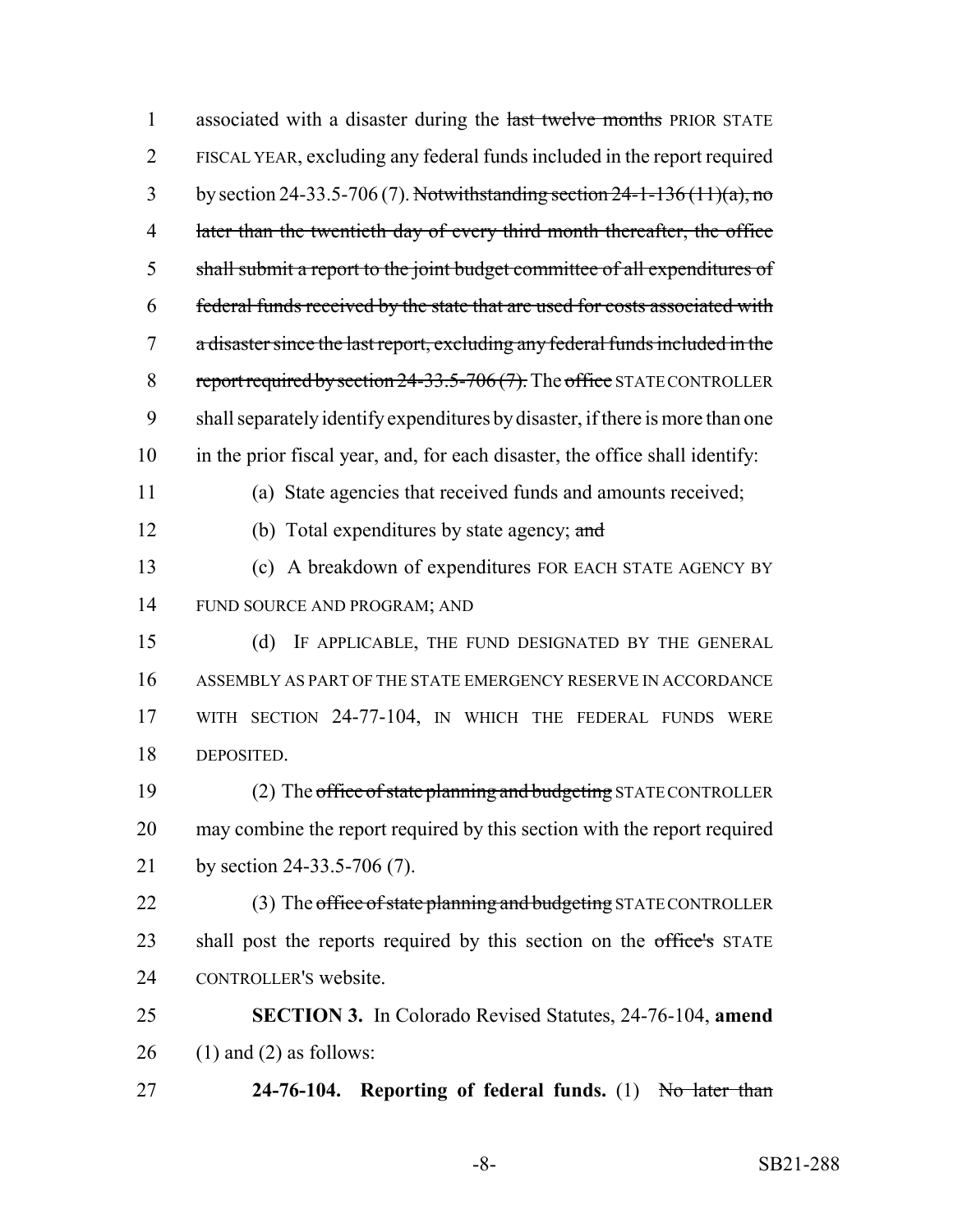| $\mathbf{1}$   | associated with a disaster during the last twelve months PRIOR STATE          |
|----------------|-------------------------------------------------------------------------------|
| $\overline{2}$ | FISCAL YEAR, excluding any federal funds included in the report required      |
| 3              | by section 24-33.5-706 (7). Notwithstanding section $24-1-136(11)(a)$ , no    |
| $\overline{4}$ | later than the twentieth day of every third month thereafter, the office      |
| 5              | shall submit a report to the joint budget committee of all expenditures of    |
| 6              | federal funds received by the state that are used for costs associated with   |
| 7              | a disaster since the last report, excluding any federal funds included in the |
| 8              | report required by section $24-33.5-706(7)$ . The office STATE CONTROLLER     |
| 9              | shall separately identify expenditures by disaster, if there is more than one |
| 10             | in the prior fiscal year, and, for each disaster, the office shall identify:  |
| 11             | (a) State agencies that received funds and amounts received;                  |
| 12             | (b) Total expenditures by state agency; $\alpha$ nd                           |
| 13             | (c) A breakdown of expenditures FOR EACH STATE AGENCY BY                      |
| 14             | FUND SOURCE AND PROGRAM; AND                                                  |
| 15             | IF APPLICABLE, THE FUND DESIGNATED BY THE GENERAL<br>(d)                      |
| 16             | ASSEMBLY AS PART OF THE STATE EMERGENCY RESERVE IN ACCORDANCE                 |
| 17             | WITH SECTION 24-77-104, IN WHICH THE FEDERAL FUNDS WERE                       |
| 18             | DEPOSITED.                                                                    |
| 19             | (2) The office of state planning and budgeting STATE CONTROLLER               |
| 20             | may combine the report required by this section with the report required      |
| 21             | by section 24-33.5-706 (7).                                                   |
| 22             | (3) The office of state planning and budgeting STATE CONTROLLER               |
| 23             | shall post the reports required by this section on the office's STATE         |
| 24             | CONTROLLER'S website.                                                         |
| 25             | <b>SECTION 3.</b> In Colorado Revised Statutes, 24-76-104, amend              |
| 26             | $(1)$ and $(2)$ as follows:                                                   |
| 27             | 24-76-104. Reporting of federal funds. (1) No later than                      |